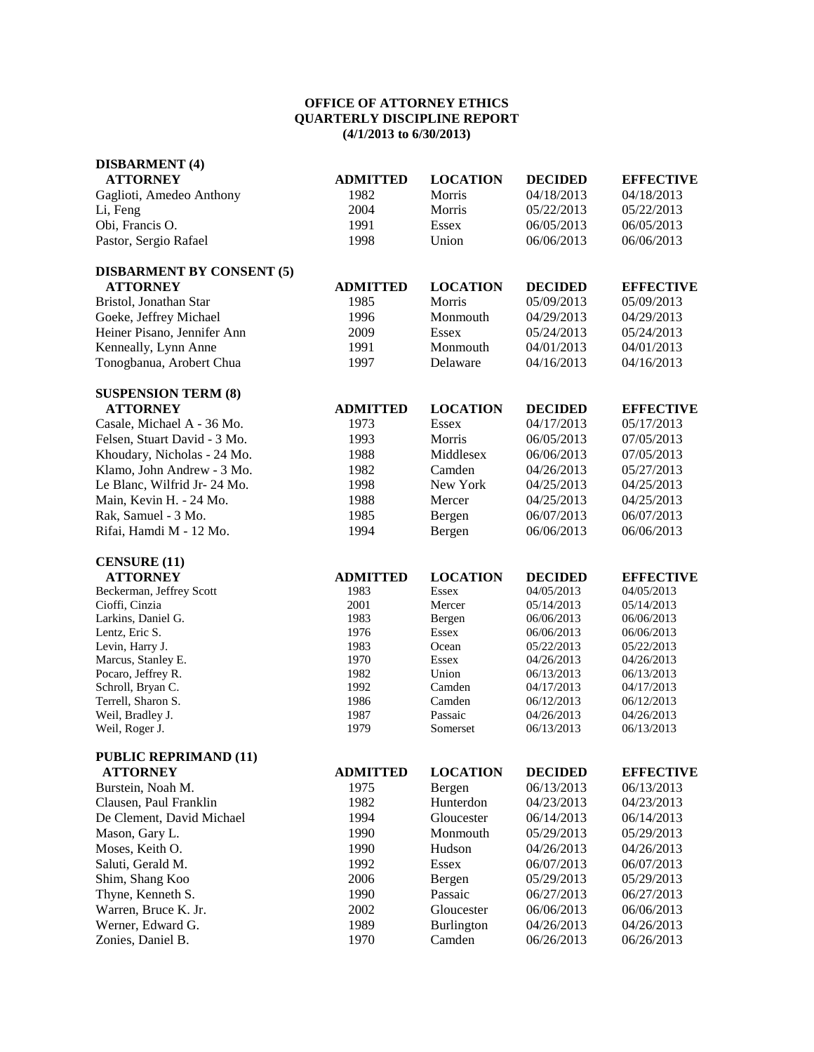## **OFFICE OF ATTORNEY ETHICS QUARTERLY DISCIPLINE REPORT (4/1/2013 to 6/30/2013)**

| <b>DISBARMENT</b> (4)              |                 |                     |                          |                          |
|------------------------------------|-----------------|---------------------|--------------------------|--------------------------|
| <b>ATTORNEY</b>                    | <b>ADMITTED</b> | <b>LOCATION</b>     | <b>DECIDED</b>           | <b>EFFECTIVE</b>         |
| Gaglioti, Amedeo Anthony           | 1982            | Morris              | 04/18/2013               | 04/18/2013               |
| Li, Feng                           | 2004            | Morris              | 05/22/2013               | 05/22/2013               |
| Obi, Francis O.                    | 1991            | <b>Essex</b>        | 06/05/2013               | 06/05/2013               |
| Pastor, Sergio Rafael              | 1998            | Union               | 06/06/2013               | 06/06/2013               |
| <b>DISBARMENT BY CONSENT (5)</b>   |                 |                     |                          |                          |
| <b>ATTORNEY</b>                    | <b>ADMITTED</b> | <b>LOCATION</b>     | <b>DECIDED</b>           | <b>EFFECTIVE</b>         |
| Bristol, Jonathan Star             | 1985            | Morris              | 05/09/2013               | 05/09/2013               |
| Goeke, Jeffrey Michael             | 1996            | Monmouth            | 04/29/2013               | 04/29/2013               |
| Heiner Pisano, Jennifer Ann        | 2009            | Essex               | 05/24/2013               | 05/24/2013               |
| Kenneally, Lynn Anne               | 1991            | Monmouth            | 04/01/2013               | 04/01/2013               |
| Tonogbanua, Arobert Chua           | 1997            | Delaware            | 04/16/2013               | 04/16/2013               |
| <b>SUSPENSION TERM (8)</b>         |                 |                     |                          |                          |
| <b>ATTORNEY</b>                    | <b>ADMITTED</b> | <b>LOCATION</b>     | <b>DECIDED</b>           | <b>EFFECTIVE</b>         |
| Casale, Michael A - 36 Mo.         | 1973            | <b>Essex</b>        | 04/17/2013               | 05/17/2013               |
| Felsen, Stuart David - 3 Mo.       | 1993            | Morris              | 06/05/2013               | 07/05/2013               |
| Khoudary, Nicholas - 24 Mo.        | 1988            | Middlesex           | 06/06/2013               | 07/05/2013               |
| Klamo, John Andrew - 3 Mo.         | 1982            | Camden              | 04/26/2013               | 05/27/2013               |
| Le Blanc, Wilfrid Jr- 24 Mo.       | 1998            | New York            | 04/25/2013               | 04/25/2013               |
| Main, Kevin H. - 24 Mo.            | 1988            | Mercer              | 04/25/2013               | 04/25/2013               |
| Rak, Samuel - 3 Mo.                | 1985            | Bergen              | 06/07/2013               | 06/07/2013               |
| Rifai, Hamdi M - 12 Mo.            | 1994            | Bergen              | 06/06/2013               | 06/06/2013               |
| <b>CENSURE (11)</b>                |                 |                     |                          |                          |
| <b>ATTORNEY</b>                    | <b>ADMITTED</b> | <b>LOCATION</b>     | <b>DECIDED</b>           | <b>EFFECTIVE</b>         |
| Beckerman, Jeffrey Scott           | 1983            | Essex               | 04/05/2013               | 04/05/2013               |
| Cioffi, Cinzia                     | 2001            | Mercer              | 05/14/2013               | 05/14/2013               |
| Larkins, Daniel G.                 | 1983            | Bergen              | 06/06/2013               | 06/06/2013               |
| Lentz, Eric S.                     | 1976            | Essex               | 06/06/2013               | 06/06/2013               |
| Levin, Harry J.                    | 1983            | Ocean               | 05/22/2013               | 05/22/2013               |
| Marcus, Stanley E.                 | 1970            | <b>Essex</b>        | 04/26/2013               | 04/26/2013               |
| Pocaro, Jeffrey R.                 | 1982            | Union               | 06/13/2013               | 06/13/2013               |
| Schroll, Bryan C.                  | 1992            | Camden              | 04/17/2013               | 04/17/2013               |
| Terrell, Sharon S.                 | 1986            | Camden              | 06/12/2013               | 06/12/2013               |
| Weil, Bradley J.<br>Weil, Roger J. | 1987<br>1979    | Passaic<br>Somerset | 04/26/2013<br>06/13/2013 | 04/26/2013<br>06/13/2013 |
| <b>PUBLIC REPRIMAND (11)</b>       |                 |                     |                          |                          |
| <b>ATTORNEY</b>                    | <b>ADMITTED</b> | <b>LOCATION</b>     | <b>DECIDED</b>           | <b>EFFECTIVE</b>         |
| Burstein, Noah M.                  | 1975            | Bergen              | 06/13/2013               | 06/13/2013               |
| Clausen, Paul Franklin             | 1982            | Hunterdon           | 04/23/2013               | 04/23/2013               |
| De Clement, David Michael          | 1994            | Gloucester          | 06/14/2013               | 06/14/2013               |
| Mason, Gary L.                     | 1990            | Monmouth            | 05/29/2013               | 05/29/2013               |
| Moses, Keith O.                    | 1990            | Hudson              | 04/26/2013               | 04/26/2013               |
| Saluti, Gerald M.                  | 1992            | <b>Essex</b>        | 06/07/2013               | 06/07/2013               |
| Shim, Shang Koo                    | 2006            | Bergen              | 05/29/2013               | 05/29/2013               |
| Thyne, Kenneth S.                  | 1990            | Passaic             | 06/27/2013               | 06/27/2013               |
| Warren, Bruce K. Jr.               | 2002            | Gloucester          | 06/06/2013               | 06/06/2013               |
| Werner, Edward G.                  | 1989            | Burlington          | 04/26/2013               | 04/26/2013               |
|                                    |                 |                     |                          |                          |

Zonies, Daniel B. 1970 Camden 06/26/2013 06/26/2013